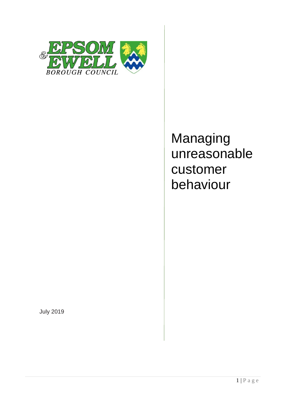

# Managing unreasonable customer behaviour

July 2019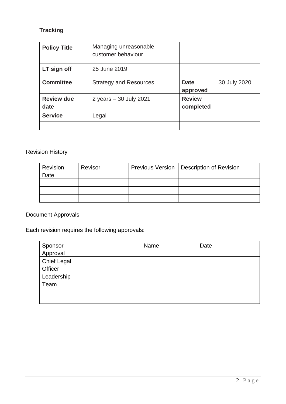#### **Tracking**

| <b>Policy Title</b>       | Managing unreasonable<br>customer behaviour |                            |              |
|---------------------------|---------------------------------------------|----------------------------|--------------|
| LT sign off               | 25 June 2019                                |                            |              |
| <b>Committee</b>          | <b>Strategy and Resources</b>               | <b>Date</b><br>approved    | 30 July 2020 |
| <b>Review due</b><br>date | 2 years - 30 July 2021                      | <b>Review</b><br>completed |              |
| <b>Service</b>            | Legal                                       |                            |              |
|                           |                                             |                            |              |

#### Revision History

| Revision | Revisor | Previous Version   Description of Revision |
|----------|---------|--------------------------------------------|
| Date     |         |                                            |
|          |         |                                            |
|          |         |                                            |
|          |         |                                            |

#### Document Approvals

Each revision requires the following approvals:

|                     | Name | Date |
|---------------------|------|------|
| Sponsor<br>Approval |      |      |
| <b>Chief Legal</b>  |      |      |
| Officer             |      |      |
| Leadership          |      |      |
| Team                |      |      |
|                     |      |      |
|                     |      |      |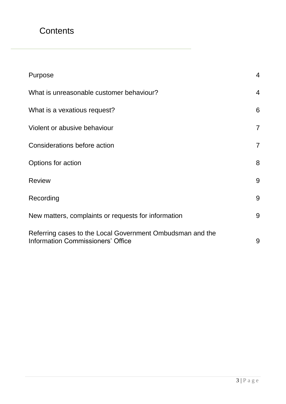# **Contents**

| Purpose                                                                                               | $\overline{4}$ |
|-------------------------------------------------------------------------------------------------------|----------------|
| What is unreasonable customer behaviour?                                                              | $\overline{4}$ |
| What is a vexatious request?                                                                          | 6              |
| Violent or abusive behaviour                                                                          | $\overline{7}$ |
| Considerations before action                                                                          | $\overline{7}$ |
| Options for action                                                                                    | 8              |
| <b>Review</b>                                                                                         | 9              |
| Recording                                                                                             | 9              |
| New matters, complaints or requests for information                                                   | 9              |
| Referring cases to the Local Government Ombudsman and the<br><b>Information Commissioners' Office</b> | 9              |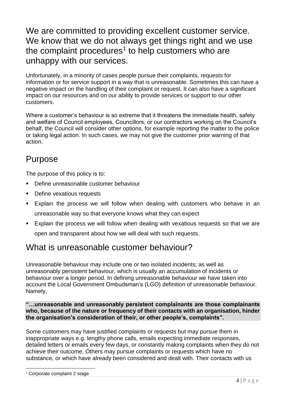We are committed to providing excellent customer service. We know that we do not always get things right and we use the complaint procedures<sup>1</sup> to help customers who are unhappy with our services.

Unfortunately, in a minority of cases people pursue their complaints, requests for information or for service support in a way that is unreasonable. Sometimes this can have a negative impact on the handling of their complaint or request. It can also have a significant impact on our resources and on our ability to provide services or support to our other customers.

Where a customer's behaviour is so extreme that it threatens the immediate health, safety and welfare of Council employees, Councillors, or our contractors working on the Council's behalf, the Council will consider other options, for example reporting the matter to the police or taking legal action. In such cases, we may not give the customer prior warning of that action.

# <span id="page-3-0"></span>Purpose

The purpose of this policy is to:

- **Define unreasonable customer behaviour**
- Define vexatious requests
- Explain the process we will follow when dealing with customers who behave in an unreasonable way so that everyone knows what they can expect
- Explain the process we will follow when dealing with vexatious requests so that we are open and transparent about how we will deal with such requests.

## <span id="page-3-1"></span>What is unreasonable customer behaviour?

Unreasonable behaviour may include one or two isolated incidents; as well as unreasonably persistent behaviour, which is usually an accumulation of incidents or behaviour over a longer period. In defining unreasonable behaviour we have taken into account the Local Government Ombudsman's (LGO) definition of unreasonable behaviour. Namely,

**"…unreasonable and unreasonably persistent complainants are those complainants who, because of the nature or frequency of their contacts with an organisation, hinder the organisation's consideration of their, or other people's, complaints".**

Some customers may have justified complaints or requests but may pursue them in inappropriate ways e.g. lengthy phone calls, emails expecting immediate responses, detailed letters or emails every few days, or constantly making complaints when they do not achieve their outcome. Others may pursue complaints or requests which have no substance, or which have already been considered and dealt with. Their contacts with us

  $1$  Corporate complaint 2 stage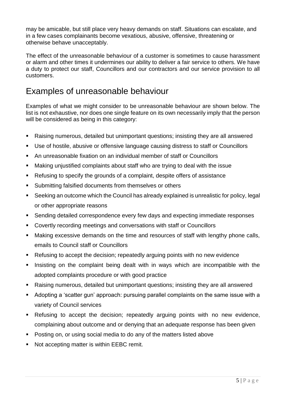may be amicable, but still place very heavy demands on staff. Situations can escalate, and in a few cases complainants become vexatious, abusive, offensive, threatening or otherwise behave unacceptably.

The effect of the unreasonable behaviour of a customer is sometimes to cause harassment or alarm and other times it undermines our ability to deliver a fair service to others. We have a duty to protect our staff, Councillors and our contractors and our service provision to all customers.

## Examples of unreasonable behaviour

Examples of what we might consider to be unreasonable behaviour are shown below. The list is not exhaustive, nor does one single feature on its own necessarily imply that the person will be considered as being in this category:

- Raising numerous, detailed but unimportant questions; insisting they are all answered
- Use of hostile, abusive or offensive language causing distress to staff or Councillors
- An unreasonable fixation on an individual member of staff or Councillors
- Making unjustified complaints about staff who are trying to deal with the issue
- Refusing to specify the grounds of a complaint, despite offers of assistance
- Submitting falsified documents from themselves or others
- Seeking an outcome which the Council has already explained is unrealistic for policy, legal or other appropriate reasons
- Sending detailed correspondence every few days and expecting immediate responses
- Covertly recording meetings and conversations with staff or Councillors
- Making excessive demands on the time and resources of staff with lengthy phone calls, emails to Council staff or Councillors
- Refusing to accept the decision; repeatedly arguing points with no new evidence
- Insisting on the complaint being dealt with in ways which are incompatible with the adopted complaints procedure or with good practice
- Raising numerous, detailed but unimportant questions; insisting they are all answered
- Adopting a 'scatter gun' approach: pursuing parallel complaints on the same issue with a variety of Council services
- Refusing to accept the decision; repeatedly arguing points with no new evidence, complaining about outcome and or denying that an adequate response has been given
- Posting on, or using social media to do any of the matters listed above
- <span id="page-4-0"></span>Not accepting matter is within EEBC remit.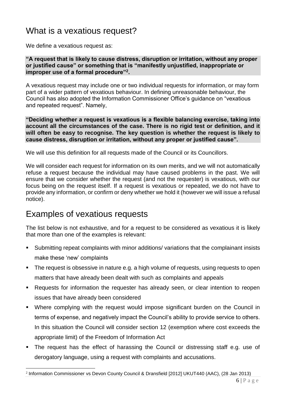# What is a vexatious request?

We define a vexatious request as:

**"A request that is likely to cause distress, disruption or irritation, without any proper or justified cause" or something that is "manifestly unjustified, inappropriate or improper use of a formal procedure"<sup>2</sup> .**

A vexatious request may include one or two individual requests for information, or may form part of a wider pattern of vexatious behaviour. In defining unreasonable behaviour, the Council has also adopted the Information Commissioner Office's guidance on "vexatious and repeated request". Namely,

**"Deciding whether a request is vexatious is a flexible balancing exercise, taking into account all the circumstances of the case. There is no rigid test or definition, and it will often be easy to recognise. The key question is whether the request is likely to cause distress, disruption or irritation, without any proper or justified cause".**

We will use this definition for all requests made of the Council or its Councillors.

We will consider each request for information on its own merits, and we will not automatically refuse a request because the individual may have caused problems in the past. We will ensure that we consider whether the request (and not the requester) is vexatious, with our focus being on the request itself. If a request is vexatious or repeated, we do not have to provide any information, or confirm or deny whether we hold it (however we will issue a refusal notice).

#### Examples of vexatious requests

The list below is not exhaustive, and for a request to be considered as vexatious it is likely that more than one of the examples is relevant:

- Submitting repeat complaints with minor additions/ variations that the complainant insists make these 'new' complaints
- The request is obsessive in nature e.g. a high volume of requests, using requests to open matters that have already been dealt with such as complaints and appeals
- Requests for information the requester has already seen, or clear intention to reopen issues that have already been considered
- Where complying with the request would impose significant burden on the Council in terms of expense, and negatively impact the Council's ability to provide service to others. In this situation the Council will consider section 12 (exemption where cost exceeds the appropriate limit) of the Freedom of Information Act
- <span id="page-5-0"></span> The request has the effect of harassing the Council or distressing staff e.g. use of derogatory language, using a request with complaints and accusations.

 2 Information Commissioner vs Devon County Council & Dransfield [2012] UKUT440 (AAC), (28 Jan 2013)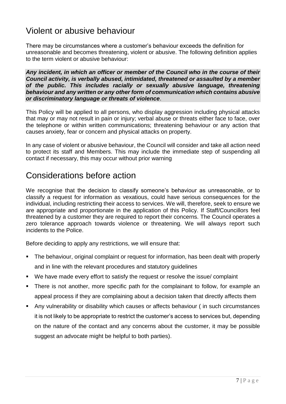## Violent or abusive behaviour

There may be circumstances where a customer's behaviour exceeds the definition for unreasonable and becomes threatening, violent or abusive. The following definition applies to the term violent or abusive behaviour:

*Any incident, in which an officer or member of the Council who in the course of their Council activity, is verbally abused, intimidated, threatened or assaulted by a member of the public. This includes racially or sexually abusive language, threatening behaviour and any written or any other form of communication which contains abusive or discriminatory language or threats of violence*.

This Policy will be applied to all persons, who display aggression including physical attacks that may or may not result in pain or injury; verbal abuse or threats either face to face, over the telephone or within written communications; threatening behaviour or any action that causes anxiety, fear or concern and physical attacks on property.

In any case of violent or abusive behaviour, the Council will consider and take all action need to protect its staff and Members. This may include the immediate step of suspending all contact if necessary, this may occur without prior warning

## <span id="page-6-0"></span>Considerations before action

We recognise that the decision to classify someone's behaviour as unreasonable, or to classify a request for information as vexatious, could have serious consequences for the individual, including restricting their access to services. We will, therefore, seek to ensure we are appropriate and proportionate in the application of this Policy. If Staff/Councillors feel threatened by a customer they are required to report their concerns. The Council operates a zero tolerance approach towards violence or threatening. We will always report such incidents to the Police.

Before deciding to apply any restrictions, we will ensure that:

- The behaviour, original complaint or request for information, has been dealt with properly and in line with the relevant procedures and statutory guidelines
- We have made every effort to satisfy the request or resolve the issue/ complaint
- There is not another, more specific path for the complainant to follow, for example an appeal process if they are complaining about a decision taken that directly affects them
- Any vulnerability or disability which causes or affects behaviour ( in such circumstances it is not likely to be appropriate to restrict the customer's access to services but, depending on the nature of the contact and any concerns about the customer, it may be possible suggest an advocate might be helpful to both parties).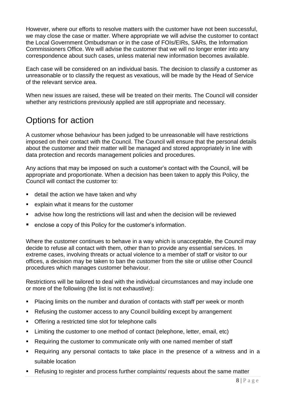However, where our efforts to resolve matters with the customer have not been successful, we may close the case or matter. Where appropriate we will advise the customer to contact the Local Government Ombudsman or in the case of FOIs/EIRs, SARs, the Information Commissioners Office. We will advise the customer that we will no longer enter into any correspondence about such cases, unless material new information becomes available.

Each case will be considered on an individual basis. The decision to classify a customer as unreasonable or to classify the request as vexatious, will be made by the Head of Service of the relevant service area.

When new issues are raised, these will be treated on their merits. The Council will consider whether any restrictions previously applied are still appropriate and necessary.

# <span id="page-7-0"></span>Options for action

A customer whose behaviour has been judged to be unreasonable will have restrictions imposed on their contact with the Council. The Council will ensure that the personal details about the customer and their matter will be managed and stored appropriately in line with data protection and records management policies and procedures.

Any actions that may be imposed on such a customer's contact with the Council, will be appropriate and proportionate. When a decision has been taken to apply this Policy, the Council will contact the customer to:

- detail the action we have taken and why
- explain what it means for the customer
- advise how long the restrictions will last and when the decision will be reviewed
- enclose a copy of this Policy for the customer's information.

Where the customer continues to behave in a way which is unacceptable, the Council may decide to refuse all contact with them, other than to provide any essential services. In extreme cases, involving threats or actual violence to a member of staff or visitor to our offices, a decision may be taken to ban the customer from the site or utilise other Council procedures which manages customer behaviour.

Restrictions will be tailored to deal with the individual circumstances and may include one or more of the following (the list is not exhaustive):

- Placing limits on the number and duration of contacts with staff per week or month
- Refusing the customer access to any Council building except by arrangement
- **Offering a restricted time slot for telephone calls**
- Limiting the customer to one method of contact (telephone, letter, email, etc)
- Requiring the customer to communicate only with one named member of staff
- Requiring any personal contacts to take place in the presence of a witness and in a suitable location
- Refusing to register and process further complaints/ requests about the same matter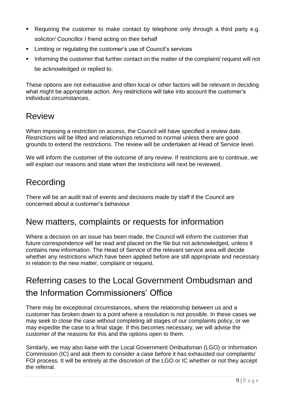- Requiring the customer to make contact by telephone only through a third party e.g. solicitor/ Councillor / friend acting on their behalf
- Limiting or regulating the customer's use of Council's services
- Informing the customer that further contact on the matter of the complaint/ request will not be acknowledged or replied to.

These options are not exhaustive and often local or other factors will be relevant in deciding what might be appropriate action. Any restrictions will take into account the customer's individual circumstances.

## <span id="page-8-0"></span>Review

When imposing a restriction on access, the Council will have specified a review date. Restrictions will be lifted and relationships returned to normal unless there are good grounds to extend the restrictions. The review will be undertaken at Head of Service level.

We will inform the customer of the outcome of any review. If restrictions are to continue, we will explain our reasons and state when the restrictions will next be reviewed.

# <span id="page-8-1"></span>Recording

There will be an audit trail of events and decisions made by staff if the Council are concerned about a customer's behaviour.

#### <span id="page-8-2"></span>New matters, complaints or requests for information

Where a decision on an issue has been made, the Council will inform the customer that future correspondence will be read and placed on the file but not acknowledged, unless it contains new information. The Head of Service of the relevant service area will decide whether any restrictions which have been applied before are still appropriate and necessary in relation to the new matter, complaint or request.

# <span id="page-8-3"></span>Referring cases to the Local Government Ombudsman and the Information Commissioners' Office

There may be exceptional circumstances, where the relationship between us and a customer has broken down to a point where a resolution is not possible. In these cases we may seek to close the case without completing all stages of our complaints policy, or we may expedite the case to a final stage. If this becomes necessary, we will advise the customer of the reasons for this and the options open to them.

Similarly, we may also liaise with the Local Government Ombudsman (LGO) or Information Commission (IC) and ask them to consider a case before it has exhausted our complaints/ FOI process. It will be entirely at the discretion of the LGO or IC whether or not they accept the referral.